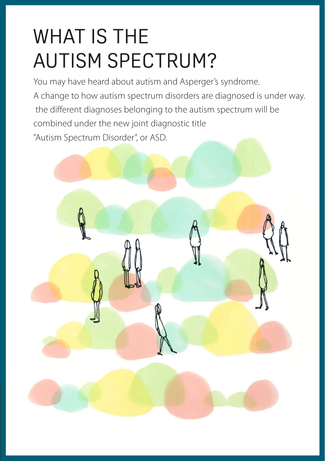# WHAT IS THE AUTISM SPECTRUM?

You may have heard about autism and Asperger's syndrome. A change to how autism spectrum disorders are diagnosed is under way. the different diagnoses belonging to the autism spectrum will be combined under the new joint diagnostic title "Autism Spectrum Disorder", or ASD.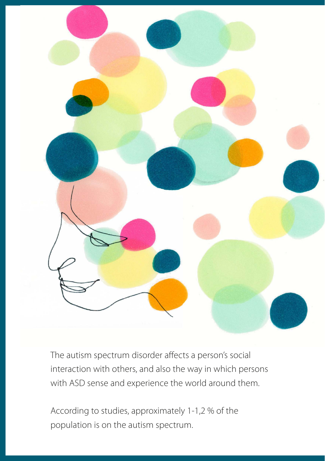

The autism spectrum disorder affects a person's social interaction with others, and also the way in which persons with ASD sense and experience the world around them.

According to studies, approximately 1-1,2 % of the population is on the autism spectrum.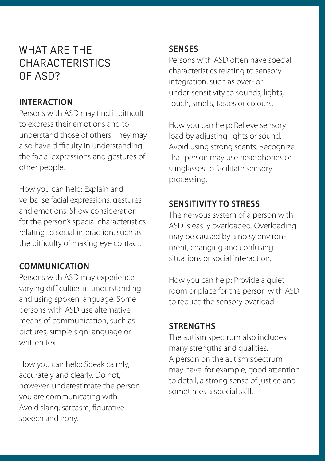# WHAT ARE THE CHARACTERISTICS OF ASD?

### **INTERACTION**

Persons with ASD may find it difficult to express their emotions and to understand those of others. They may also have difficulty in understanding the facial expressions and gestures of other people.

How you can help: Explain and verbalise facial expressions, gestures and emotions. Show consideration for the person's special characteristics relating to social interaction, such as the difficulty of making eye contact.

## **COMMUNICATION**

Persons with ASD may experience varying difficulties in understanding and using spoken language. Some persons with ASD use alternative means of communication, such as pictures, simple sign language or written text.

How you can help: Speak calmly, accurately and clearly. Do not, however, underestimate the person you are communicating with. Avoid slang, sarcasm, figurative speech and irony.

#### **SENSES**

Persons with ASD often have special characteristics relating to sensory integration, such as over- or under-sensitivity to sounds, lights, touch, smells, tastes or colours.

How you can help: Relieve sensory load by adjusting lights or sound. Avoid using strong scents. Recognize that person may use headphones or sunglasses to facilitate sensory processing.

# **SENSITIVITY TO STRESS**

The nervous system of a person with ASD is easily overloaded. Overloading may be caused by a noisy environment, changing and confusing situations or social interaction.

How you can help: Provide a quiet room or place for the person with ASD to reduce the sensory overload.

#### **STRENGTHS**

The autism spectrum also includes many strengths and qualities. A person on the autism spectrum may have, for example, good attention to detail, a strong sense of justice and sometimes a special skill.